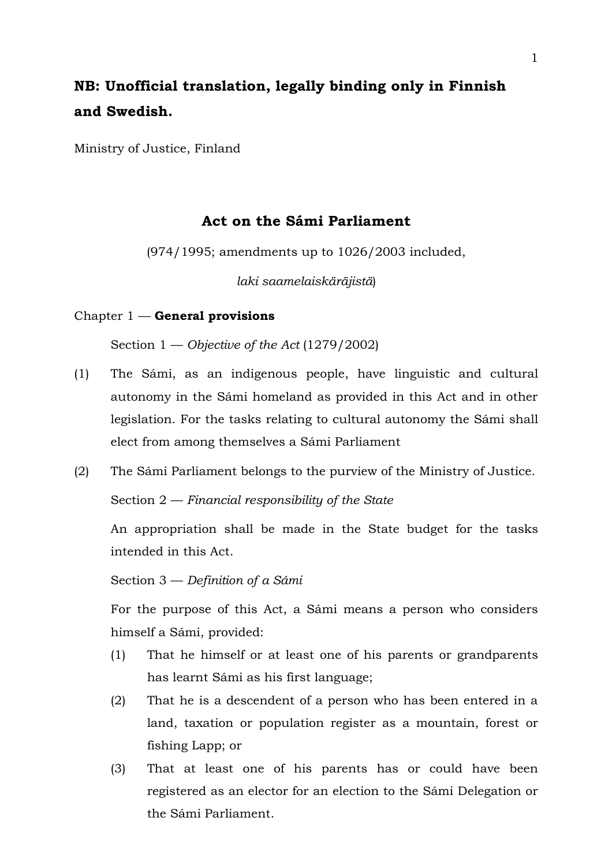# **NB: Unofficial translation, legally binding only in Finnish and Swedish.**

Ministry of Justice, Finland

# **Act on the Sámi Parliament**

(974/1995; amendments up to 1026/2003 included,

*laki saamelaiskäräjistä*)

## Chapter 1 — **General provisions**

Section 1 — *Objective of the Act* (1279/2002)

- (1) The Sámi, as an indigenous people, have linguistic and cultural autonomy in the Sámi homeland as provided in this Act and in other legislation. For the tasks relating to cultural autonomy the Sámi shall elect from among themselves a Sámi Parliament
- (2) The Sámi Parliament belongs to the purview of the Ministry of Justice. Section 2 — *Financial responsibility of the State*

An appropriation shall be made in the State budget for the tasks intended in this Act.

Section 3 — *Definition of a Sámi*

For the purpose of this Act, a Sámi means a person who considers himself a Sámi, provided:

- (1) That he himself or at least one of his parents or grandparents has learnt Sámi as his first language;
- (2) That he is a descendent of a person who has been entered in a land, taxation or population register as a mountain, forest or fishing Lapp; or
- (3) That at least one of his parents has or could have been registered as an elector for an election to the Sámi Delegation or the Sámi Parliament.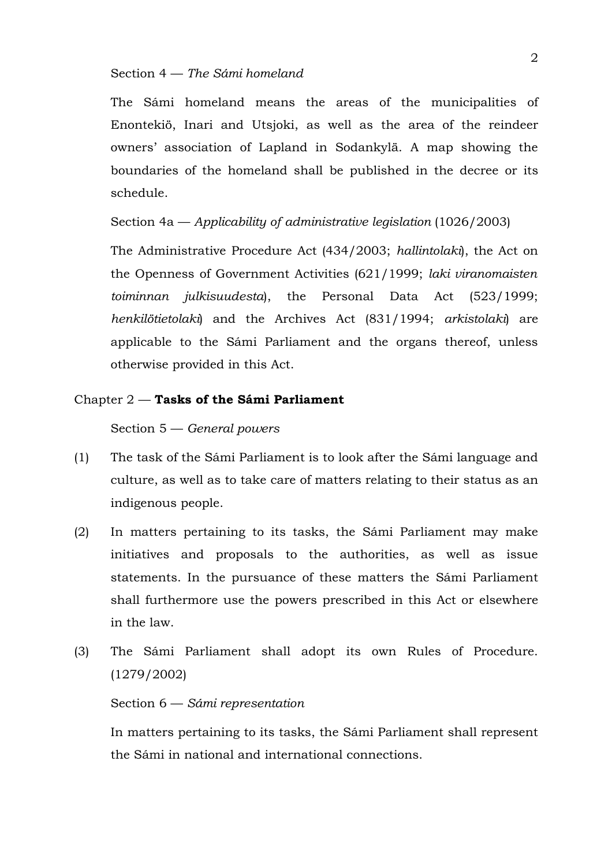## Section 4 — *The Sámi homeland*

The Sámi homeland means the areas of the municipalities of Enontekiö, Inari and Utsjoki, as well as the area of the reindeer owners' association of Lapland in Sodankylä. A map showing the boundaries of the homeland shall be published in the decree or its schedule.

## Section 4a — *Applicability of administrative legislation* (1026/2003)

The Administrative Procedure Act (434/2003; *hallintolaki*), the Act on the Openness of Government Activities (621/1999; *laki viranomaisten toiminnan julkisuudesta*), the Personal Data Act (523/1999; *henkilötietolaki*) and the Archives Act (831/1994; *arkistolaki*) are applicable to the Sámi Parliament and the organs thereof, unless otherwise provided in this Act.

## Chapter 2 — **Tasks of the Sámi Parliament**

#### Section 5 — *General powers*

- (1) The task of the Sámi Parliament is to look after the Sámi language and culture, as well as to take care of matters relating to their status as an indigenous people.
- (2) In matters pertaining to its tasks, the Sámi Parliament may make initiatives and proposals to the authorities, as well as issue statements. In the pursuance of these matters the Sámi Parliament shall furthermore use the powers prescribed in this Act or elsewhere in the law.
- (3) The Sámi Parliament shall adopt its own Rules of Procedure. (1279/2002)

## Section 6 — *Sámi representation*

In matters pertaining to its tasks, the Sámi Parliament shall represent the Sámi in national and international connections.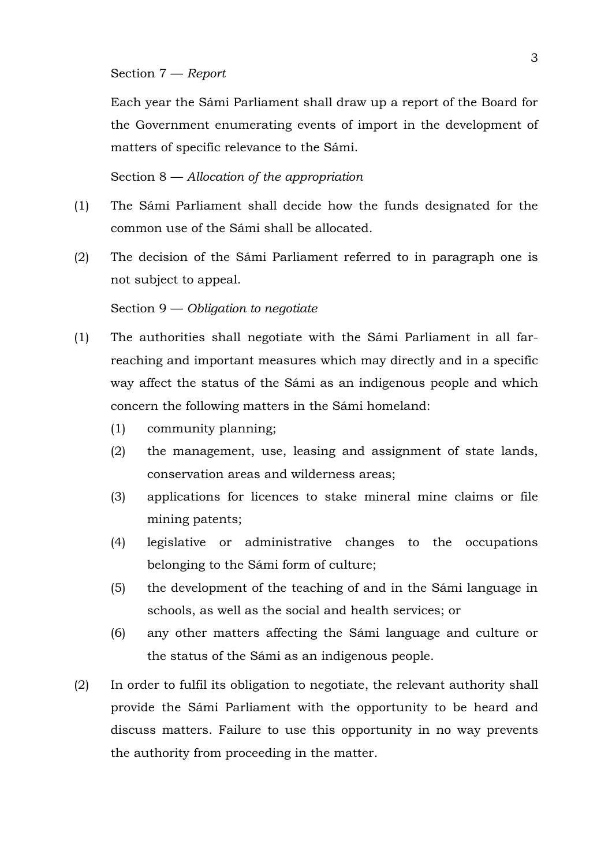Section 7 — *Report*

Each year the Sámi Parliament shall draw up a report of the Board for the Government enumerating events of import in the development of matters of specific relevance to the Sámi.

Section 8 — *Allocation of the appropriation*

- (1) The Sámi Parliament shall decide how the funds designated for the common use of the Sámi shall be allocated.
- (2) The decision of the Sámi Parliament referred to in paragraph one is not subject to appeal.

#### Section 9 — *Obligation to negotiate*

- (1) The authorities shall negotiate with the Sámi Parliament in all farreaching and important measures which may directly and in a specific way affect the status of the Sámi as an indigenous people and which concern the following matters in the Sámi homeland:
	- (1) community planning;
	- (2) the management, use, leasing and assignment of state lands, conservation areas and wilderness areas;
	- (3) applications for licences to stake mineral mine claims or file mining patents;
	- (4) legislative or administrative changes to the occupations belonging to the Sámi form of culture;
	- (5) the development of the teaching of and in the Sámi language in schools, as well as the social and health services; or
	- (6) any other matters affecting the Sámi language and culture or the status of the Sámi as an indigenous people.
- (2) In order to fulfil its obligation to negotiate, the relevant authority shall provide the Sámi Parliament with the opportunity to be heard and discuss matters. Failure to use this opportunity in no way prevents the authority from proceeding in the matter.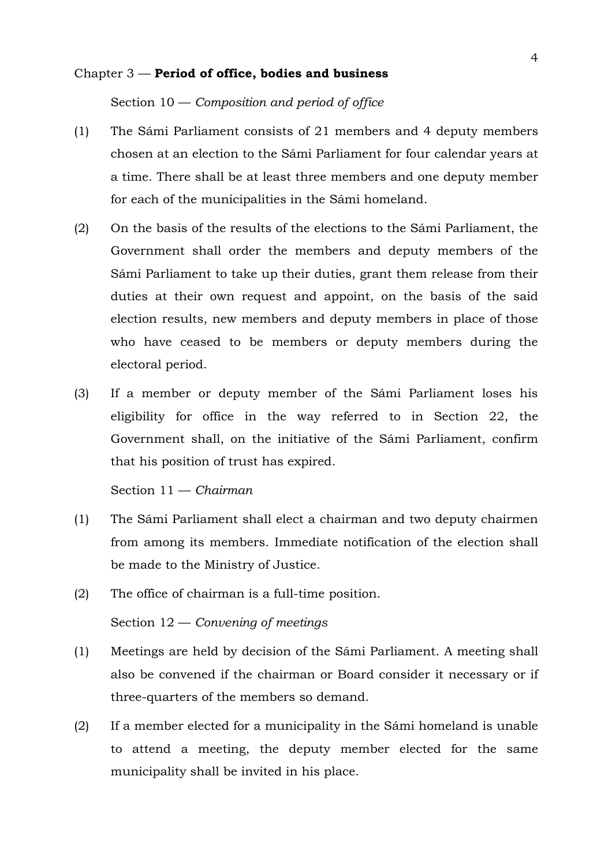#### Chapter 3 — **Period of office, bodies and business**

Section 10 — *Composition and period of office*

- (1) The Sámi Parliament consists of 21 members and 4 deputy members chosen at an election to the Sámi Parliament for four calendar years at a time. There shall be at least three members and one deputy member for each of the municipalities in the Sámi homeland.
- (2) On the basis of the results of the elections to the Sámi Parliament, the Government shall order the members and deputy members of the Sámi Parliament to take up their duties, grant them release from their duties at their own request and appoint, on the basis of the said election results, new members and deputy members in place of those who have ceased to be members or deputy members during the electoral period.
- (3) If a member or deputy member of the Sámi Parliament loses his eligibility for office in the way referred to in Section 22, the Government shall, on the initiative of the Sámi Parliament, confirm that his position of trust has expired.

Section 11 — *Chairman*

- (1) The Sámi Parliament shall elect a chairman and two deputy chairmen from among its members. Immediate notification of the election shall be made to the Ministry of Justice.
- (2) The office of chairman is a full-time position. Section 12 — *Convening of meetings*
- (1) Meetings are held by decision of the Sámi Parliament. A meeting shall also be convened if the chairman or Board consider it necessary or if three-quarters of the members so demand.
- (2) If a member elected for a municipality in the Sámi homeland is unable to attend a meeting, the deputy member elected for the same municipality shall be invited in his place.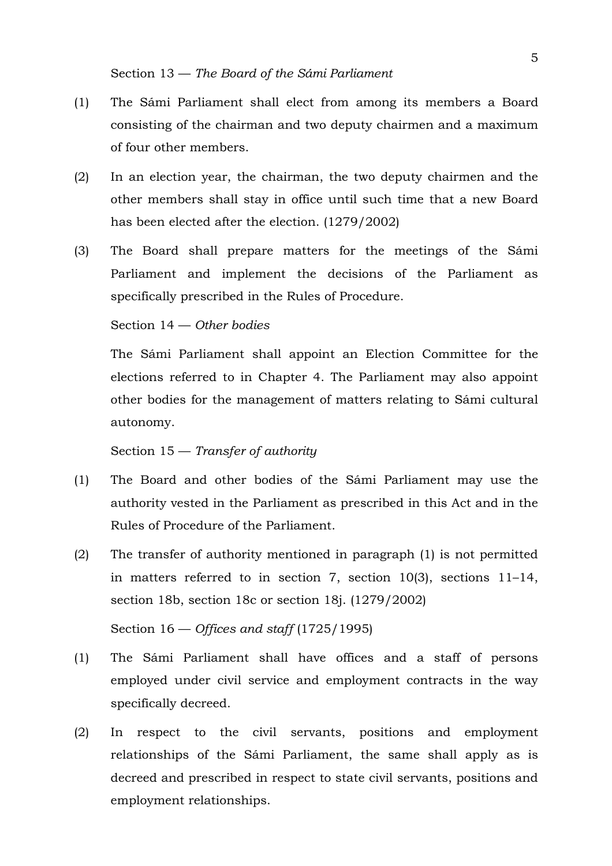- (1) The Sámi Parliament shall elect from among its members a Board consisting of the chairman and two deputy chairmen and a maximum of four other members.
- (2) In an election year, the chairman, the two deputy chairmen and the other members shall stay in office until such time that a new Board has been elected after the election. (1279/2002)
- (3) The Board shall prepare matters for the meetings of the Sámi Parliament and implement the decisions of the Parliament as specifically prescribed in the Rules of Procedure.

## Section 14 — *Other bodies*

The Sámi Parliament shall appoint an Election Committee for the elections referred to in Chapter 4. The Parliament may also appoint other bodies for the management of matters relating to Sámi cultural autonomy.

Section 15 — *Transfer of authority*

- (1) The Board and other bodies of the Sámi Parliament may use the authority vested in the Parliament as prescribed in this Act and in the Rules of Procedure of the Parliament.
- (2) The transfer of authority mentioned in paragraph (1) is not permitted in matters referred to in section 7, section 10(3), sections 11–14, section 18b, section 18c or section 18j. (1279/2002)

Section 16 — *Offices and staff* (1725/1995)

- (1) The Sámi Parliament shall have offices and a staff of persons employed under civil service and employment contracts in the way specifically decreed.
- (2) In respect to the civil servants, positions and employment relationships of the Sámi Parliament, the same shall apply as is decreed and prescribed in respect to state civil servants, positions and employment relationships.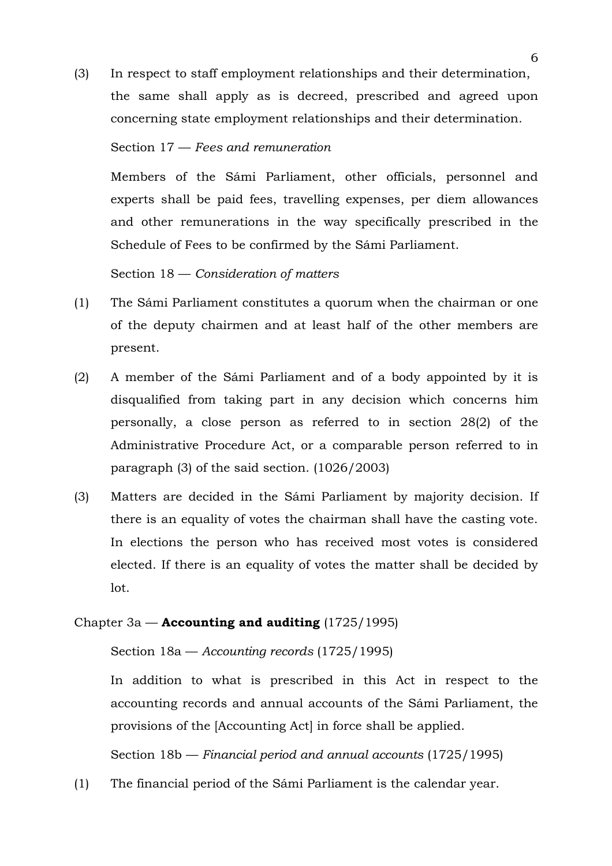(3) In respect to staff employment relationships and their determination, the same shall apply as is decreed, prescribed and agreed upon concerning state employment relationships and their determination.

## Section 17 — *Fees and remuneration*

Members of the Sámi Parliament, other officials, personnel and experts shall be paid fees, travelling expenses, per diem allowances and other remunerations in the way specifically prescribed in the Schedule of Fees to be confirmed by the Sámi Parliament.

Section 18 — *Consideration of matters*

- (1) The Sámi Parliament constitutes a quorum when the chairman or one of the deputy chairmen and at least half of the other members are present.
- (2) A member of the Sámi Parliament and of a body appointed by it is disqualified from taking part in any decision which concerns him personally, a close person as referred to in section 28(2) of the Administrative Procedure Act, or a comparable person referred to in paragraph (3) of the said section. (1026/2003)
- (3) Matters are decided in the Sámi Parliament by majority decision. If there is an equality of votes the chairman shall have the casting vote. In elections the person who has received most votes is considered elected. If there is an equality of votes the matter shall be decided by lot.

## Chapter 3a — **Accounting and auditing** (1725/1995)

Section 18a — *Accounting records* (1725/1995)

In addition to what is prescribed in this Act in respect to the accounting records and annual accounts of the Sámi Parliament, the provisions of the [Accounting Act] in force shall be applied.

Section 18b — *Financial period and annual accounts* (1725/1995)

(1) The financial period of the Sámi Parliament is the calendar year.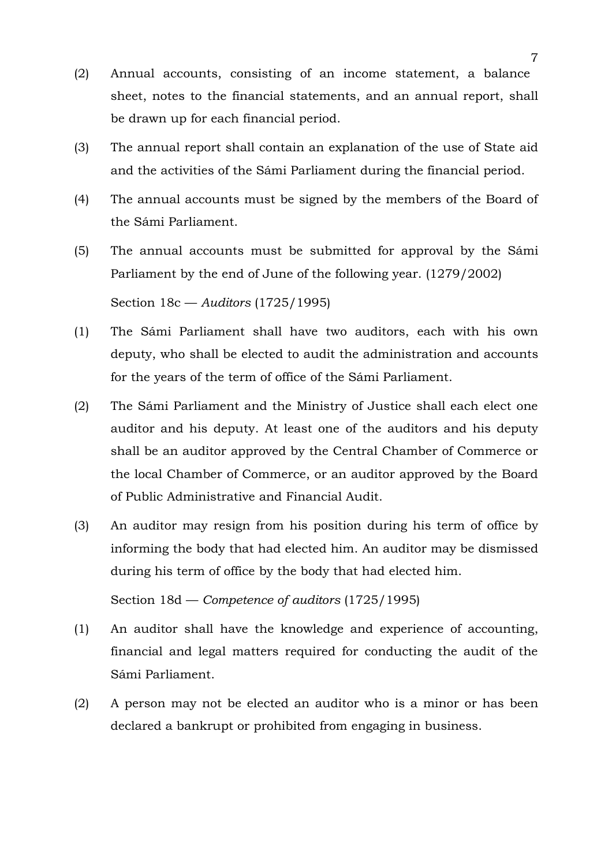- (2) Annual accounts, consisting of an income statement, a balance sheet, notes to the financial statements, and an annual report, shall be drawn up for each financial period.
- (3) The annual report shall contain an explanation of the use of State aid and the activities of the Sámi Parliament during the financial period.
- (4) The annual accounts must be signed by the members of the Board of the Sámi Parliament.
- (5) The annual accounts must be submitted for approval by the Sámi Parliament by the end of June of the following year. (1279/2002) Section 18c — *Auditors* (1725/1995)
- (1) The Sámi Parliament shall have two auditors, each with his own deputy, who shall be elected to audit the administration and accounts for the years of the term of office of the Sámi Parliament.
- (2) The Sámi Parliament and the Ministry of Justice shall each elect one auditor and his deputy. At least one of the auditors and his deputy shall be an auditor approved by the Central Chamber of Commerce or the local Chamber of Commerce, or an auditor approved by the Board of Public Administrative and Financial Audit.
- (3) An auditor may resign from his position during his term of office by informing the body that had elected him. An auditor may be dismissed during his term of office by the body that had elected him.

Section 18d — *Competence of auditors* (1725/1995)

- (1) An auditor shall have the knowledge and experience of accounting, financial and legal matters required for conducting the audit of the Sámi Parliament.
- (2) A person may not be elected an auditor who is a minor or has been declared a bankrupt or prohibited from engaging in business.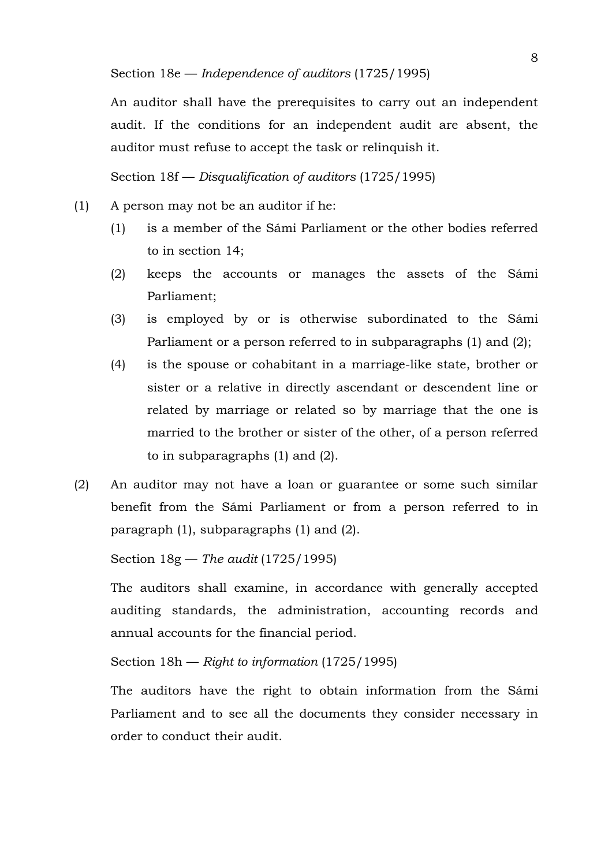An auditor shall have the prerequisites to carry out an independent audit. If the conditions for an independent audit are absent, the auditor must refuse to accept the task or relinquish it.

## Section 18f — *Disqualification of auditors* (1725/1995)

- (1) A person may not be an auditor if he:
	- (1) is a member of the Sámi Parliament or the other bodies referred to in section 14;
	- (2) keeps the accounts or manages the assets of the Sámi Parliament;
	- (3) is employed by or is otherwise subordinated to the Sámi Parliament or a person referred to in subparagraphs (1) and (2);
	- (4) is the spouse or cohabitant in a marriage-like state, brother or sister or a relative in directly ascendant or descendent line or related by marriage or related so by marriage that the one is married to the brother or sister of the other, of a person referred to in subparagraphs (1) and (2).
- (2) An auditor may not have a loan or guarantee or some such similar benefit from the Sámi Parliament or from a person referred to in paragraph (1), subparagraphs (1) and (2).

Section 18g — *The audit* (1725/1995)

The auditors shall examine, in accordance with generally accepted auditing standards, the administration, accounting records and annual accounts for the financial period.

## Section 18h — *Right to information* (1725/1995)

The auditors have the right to obtain information from the Sámi Parliament and to see all the documents they consider necessary in order to conduct their audit.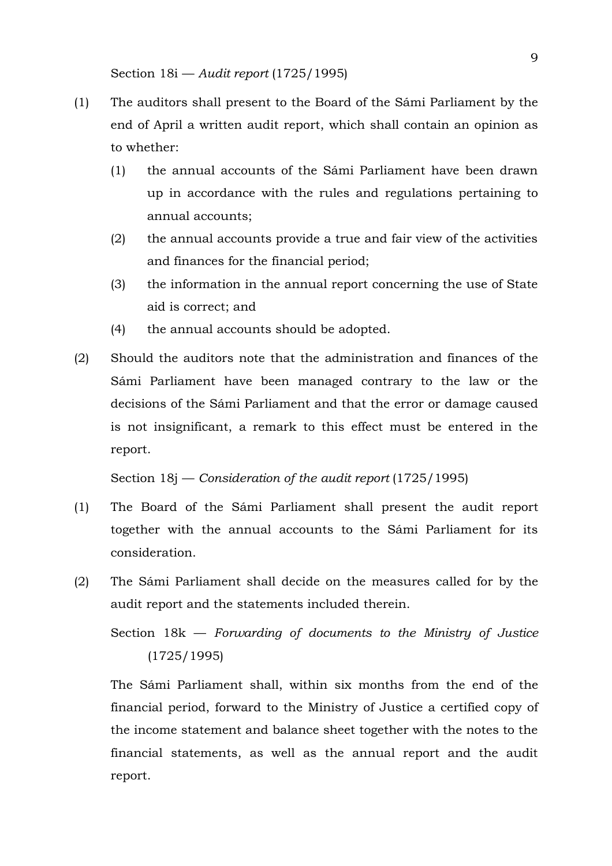- (1) The auditors shall present to the Board of the Sámi Parliament by the end of April a written audit report, which shall contain an opinion as to whether:
	- (1) the annual accounts of the Sámi Parliament have been drawn up in accordance with the rules and regulations pertaining to annual accounts;
	- (2) the annual accounts provide a true and fair view of the activities and finances for the financial period;
	- (3) the information in the annual report concerning the use of State aid is correct; and
	- (4) the annual accounts should be adopted.
- (2) Should the auditors note that the administration and finances of the Sámi Parliament have been managed contrary to the law or the decisions of the Sámi Parliament and that the error or damage caused is not insignificant, a remark to this effect must be entered in the report.

Section 18j — *Consideration of the audit report* (1725/1995)

- (1) The Board of the Sámi Parliament shall present the audit report together with the annual accounts to the Sámi Parliament for its consideration.
- (2) The Sámi Parliament shall decide on the measures called for by the audit report and the statements included therein.

Section 18k — *Forwarding of documents to the Ministry of Justice* (1725/1995)

The Sámi Parliament shall, within six months from the end of the financial period, forward to the Ministry of Justice a certified copy of the income statement and balance sheet together with the notes to the financial statements, as well as the annual report and the audit report.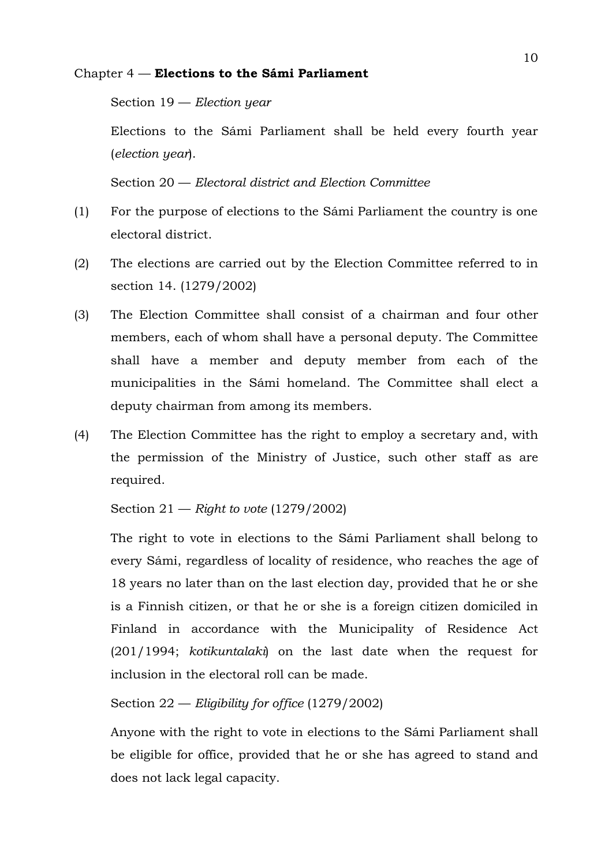## Chapter 4 — **Elections to the Sámi Parliament**

Section 19 — *Election year*

Elections to the Sámi Parliament shall be held every fourth year (*election year*).

Section 20 — *Electoral district and Election Committee*

- (1) For the purpose of elections to the Sámi Parliament the country is one electoral district.
- (2) The elections are carried out by the Election Committee referred to in section 14. (1279/2002)
- (3) The Election Committee shall consist of a chairman and four other members, each of whom shall have a personal deputy. The Committee shall have a member and deputy member from each of the municipalities in the Sámi homeland. The Committee shall elect a deputy chairman from among its members.
- (4) The Election Committee has the right to employ a secretary and, with the permission of the Ministry of Justice, such other staff as are required.

Section 21 — *Right to vote* (1279/2002)

The right to vote in elections to the Sámi Parliament shall belong to every Sámi, regardless of locality of residence, who reaches the age of 18 years no later than on the last election day, provided that he or she is a Finnish citizen, or that he or she is a foreign citizen domiciled in Finland in accordance with the Municipality of Residence Act (201/1994; *kotikuntalaki*) on the last date when the request for inclusion in the electoral roll can be made.

# Section 22 — *Eligibility for office* (1279/2002)

Anyone with the right to vote in elections to the Sámi Parliament shall be eligible for office, provided that he or she has agreed to stand and does not lack legal capacity.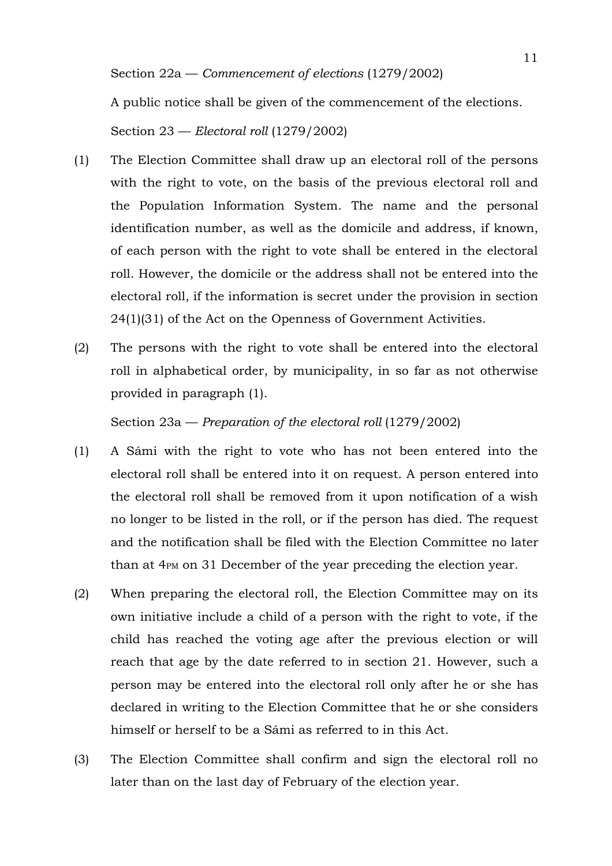A public notice shall be given of the commencement of the elections.

Section 23 — *Electoral roll* (1279/2002)

- (1) The Election Committee shall draw up an electoral roll of the persons with the right to vote, on the basis of the previous electoral roll and the Population Information System. The name and the personal identification number, as well as the domicile and address, if known, of each person with the right to vote shall be entered in the electoral roll. However, the domicile or the address shall not be entered into the electoral roll, if the information is secret under the provision in section 24(1)(31) of the Act on the Openness of Government Activities.
- (2) The persons with the right to vote shall be entered into the electoral roll in alphabetical order, by municipality, in so far as not otherwise provided in paragraph (1).

Section 23a — *Preparation of the electoral roll* (1279/2002)

- (1) A Sámi with the right to vote who has not been entered into the electoral roll shall be entered into it on request. A person entered into the electoral roll shall be removed from it upon notification of a wish no longer to be listed in the roll, or if the person has died. The request and the notification shall be filed with the Election Committee no later than at 4PM on 31 December of the year preceding the election year.
- (2) When preparing the electoral roll, the Election Committee may on its own initiative include a child of a person with the right to vote, if the child has reached the voting age after the previous election or will reach that age by the date referred to in section 21. However, such a person may be entered into the electoral roll only after he or she has declared in writing to the Election Committee that he or she considers himself or herself to be a Sámi as referred to in this Act.
- (3) The Election Committee shall confirm and sign the electoral roll no later than on the last day of February of the election year.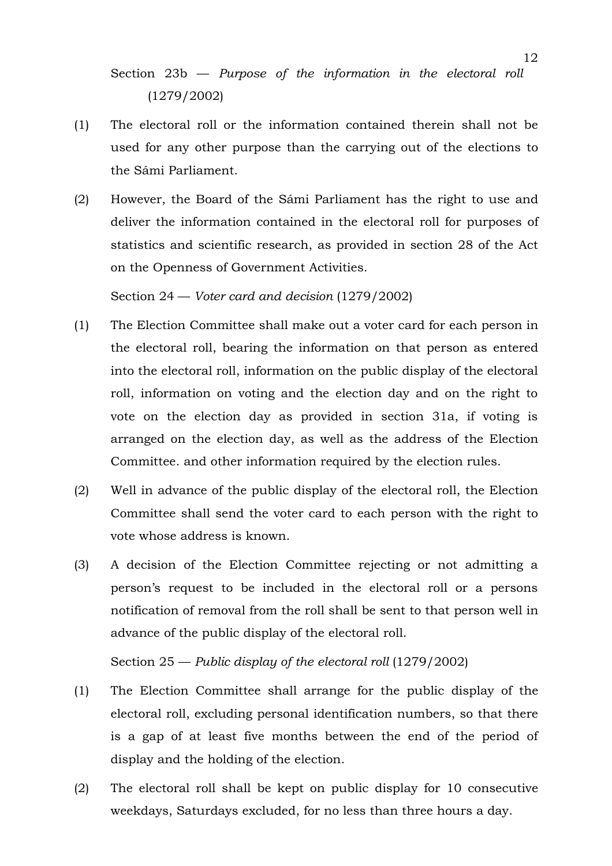Section 23b — *Purpose of the information in the electoral roll* (1279/2002)

- (1) The electoral roll or the information contained therein shall not be used for any other purpose than the carrying out of the elections to the Sámi Parliament.
- (2) However, the Board of the Sámi Parliament has the right to use and deliver the information contained in the electoral roll for purposes of statistics and scientific research, as provided in section 28 of the Act on the Openness of Government Activities.

Section 24 — *Voter card and decision* (1279/2002)

- (1) The Election Committee shall make out a voter card for each person in the electoral roll, bearing the information on that person as entered into the electoral roll, information on the public display of the electoral roll, information on voting and the election day and on the right to vote on the election day as provided in section 31a, if voting is arranged on the election day, as well as the address of the Election Committee. and other information required by the election rules.
- (2) Well in advance of the public display of the electoral roll, the Election Committee shall send the voter card to each person with the right to vote whose address is known.
- (3) A decision of the Election Committee rejecting or not admitting a person's request to be included in the electoral roll or a persons notification of removal from the roll shall be sent to that person well in advance of the public display of the electoral roll.

Section 25 — *Public display of the electoral roll* (1279/2002)

- (1) The Election Committee shall arrange for the public display of the electoral roll, excluding personal identification numbers, so that there is a gap of at least five months between the end of the period of display and the holding of the election.
- (2) The electoral roll shall be kept on public display for 10 consecutive weekdays, Saturdays excluded, for no less than three hours a day.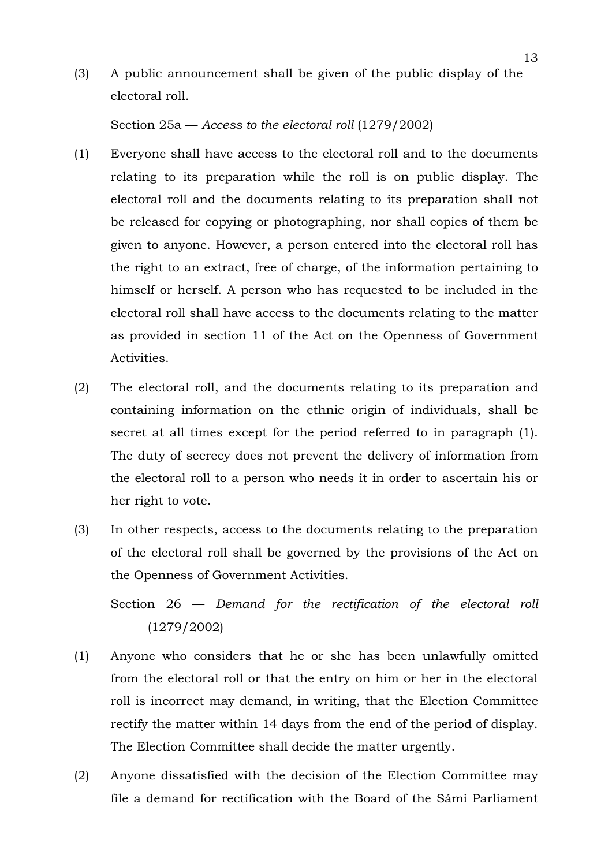(3) A public announcement shall be given of the public display of the electoral roll.

Section 25a — *Access to the electoral roll* (1279/2002)

- (1) Everyone shall have access to the electoral roll and to the documents relating to its preparation while the roll is on public display. The electoral roll and the documents relating to its preparation shall not be released for copying or photographing, nor shall copies of them be given to anyone. However, a person entered into the electoral roll has the right to an extract, free of charge, of the information pertaining to himself or herself. A person who has requested to be included in the electoral roll shall have access to the documents relating to the matter as provided in section 11 of the Act on the Openness of Government Activities.
- (2) The electoral roll, and the documents relating to its preparation and containing information on the ethnic origin of individuals, shall be secret at all times except for the period referred to in paragraph (1). The duty of secrecy does not prevent the delivery of information from the electoral roll to a person who needs it in order to ascertain his or her right to vote.
- (3) In other respects, access to the documents relating to the preparation of the electoral roll shall be governed by the provisions of the Act on the Openness of Government Activities.

Section 26 — *Demand for the rectification of the electoral roll* (1279/2002)

- (1) Anyone who considers that he or she has been unlawfully omitted from the electoral roll or that the entry on him or her in the electoral roll is incorrect may demand, in writing, that the Election Committee rectify the matter within 14 days from the end of the period of display. The Election Committee shall decide the matter urgently.
- (2) Anyone dissatisfied with the decision of the Election Committee may file a demand for rectification with the Board of the Sámi Parliament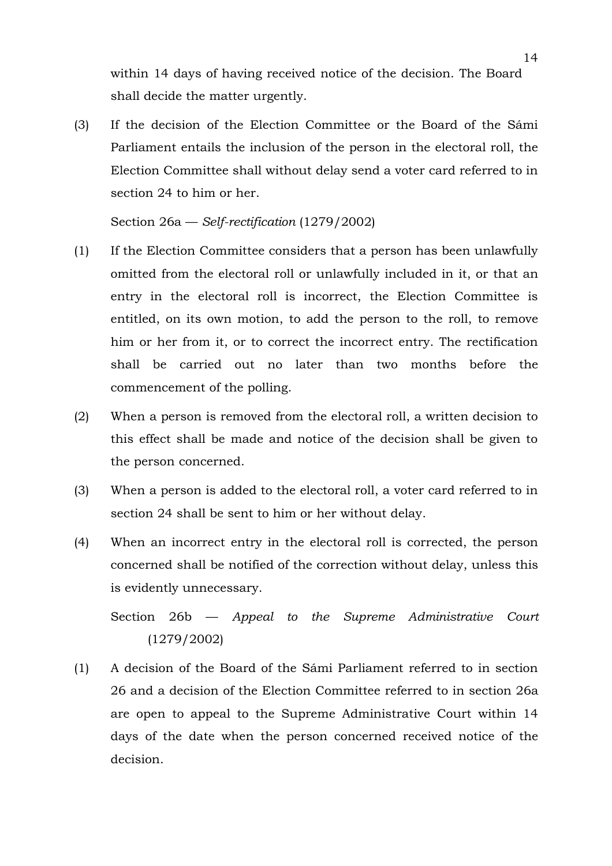within 14 days of having received notice of the decision. The Board shall decide the matter urgently.

(3) If the decision of the Election Committee or the Board of the Sámi Parliament entails the inclusion of the person in the electoral roll, the Election Committee shall without delay send a voter card referred to in section 24 to him or her.

Section 26a — *Self-rectification* (1279/2002)

- (1) If the Election Committee considers that a person has been unlawfully omitted from the electoral roll or unlawfully included in it, or that an entry in the electoral roll is incorrect, the Election Committee is entitled, on its own motion, to add the person to the roll, to remove him or her from it, or to correct the incorrect entry. The rectification shall be carried out no later than two months before the commencement of the polling.
- (2) When a person is removed from the electoral roll, a written decision to this effect shall be made and notice of the decision shall be given to the person concerned.
- (3) When a person is added to the electoral roll, a voter card referred to in section 24 shall be sent to him or her without delay.
- (4) When an incorrect entry in the electoral roll is corrected, the person concerned shall be notified of the correction without delay, unless this is evidently unnecessary.

Section 26b — *Appeal to the Supreme Administrative Court* (1279/2002)

(1) A decision of the Board of the Sámi Parliament referred to in section 26 and a decision of the Election Committee referred to in section 26a are open to appeal to the Supreme Administrative Court within 14 days of the date when the person concerned received notice of the decision.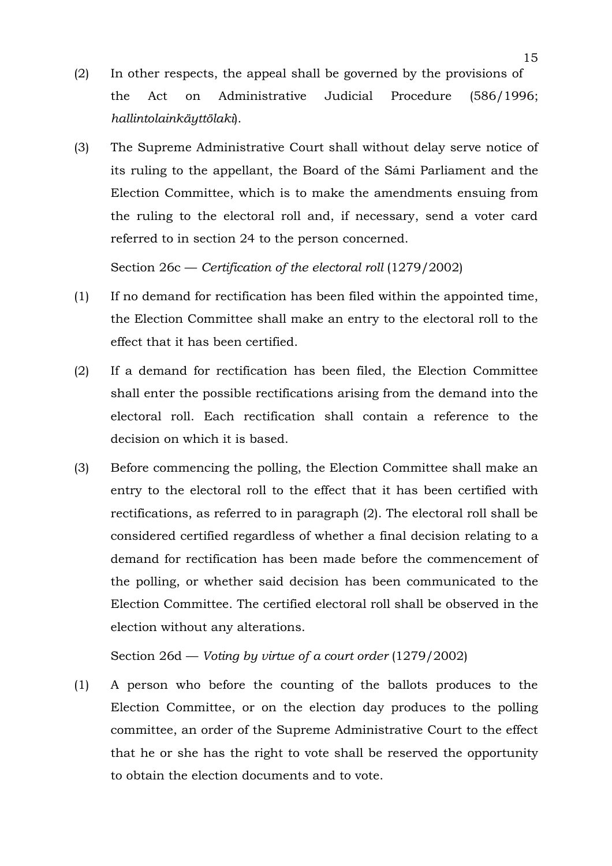- (2) In other respects, the appeal shall be governed by the provisions of the Act on Administrative Judicial Procedure (586/1996; *hallintolainkäyttölaki*).
- (3) The Supreme Administrative Court shall without delay serve notice of its ruling to the appellant, the Board of the Sámi Parliament and the Election Committee, which is to make the amendments ensuing from the ruling to the electoral roll and, if necessary, send a voter card referred to in section 24 to the person concerned.

Section 26c — *Certification of the electoral roll* (1279/2002)

- (1) If no demand for rectification has been filed within the appointed time, the Election Committee shall make an entry to the electoral roll to the effect that it has been certified.
- (2) If a demand for rectification has been filed, the Election Committee shall enter the possible rectifications arising from the demand into the electoral roll. Each rectification shall contain a reference to the decision on which it is based.
- (3) Before commencing the polling, the Election Committee shall make an entry to the electoral roll to the effect that it has been certified with rectifications, as referred to in paragraph (2). The electoral roll shall be considered certified regardless of whether a final decision relating to a demand for rectification has been made before the commencement of the polling, or whether said decision has been communicated to the Election Committee. The certified electoral roll shall be observed in the election without any alterations.

Section 26d — *Voting by virtue of a court order* (1279/2002)

(1) A person who before the counting of the ballots produces to the Election Committee, or on the election day produces to the polling committee, an order of the Supreme Administrative Court to the effect that he or she has the right to vote shall be reserved the opportunity to obtain the election documents and to vote.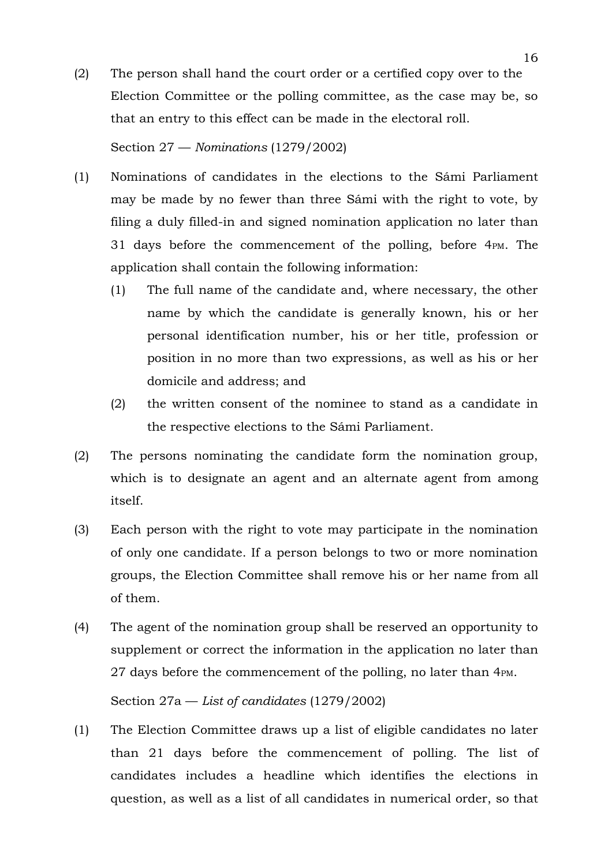(2) The person shall hand the court order or a certified copy over to the Election Committee or the polling committee, as the case may be, so that an entry to this effect can be made in the electoral roll.

Section 27 — *Nominations* (1279/2002)

- (1) Nominations of candidates in the elections to the Sámi Parliament may be made by no fewer than three Sámi with the right to vote, by filing a duly filled-in and signed nomination application no later than 31 days before the commencement of the polling, before 4PM. The application shall contain the following information:
	- (1) The full name of the candidate and, where necessary, the other name by which the candidate is generally known, his or her personal identification number, his or her title, profession or position in no more than two expressions, as well as his or her domicile and address; and
	- (2) the written consent of the nominee to stand as a candidate in the respective elections to the Sámi Parliament.
- (2) The persons nominating the candidate form the nomination group, which is to designate an agent and an alternate agent from among itself.
- (3) Each person with the right to vote may participate in the nomination of only one candidate. If a person belongs to two or more nomination groups, the Election Committee shall remove his or her name from all of them.
- (4) The agent of the nomination group shall be reserved an opportunity to supplement or correct the information in the application no later than 27 days before the commencement of the polling, no later than 4PM.

# Section 27a — *List of candidates* (1279/2002)

(1) The Election Committee draws up a list of eligible candidates no later than 21 days before the commencement of polling. The list of candidates includes a headline which identifies the elections in question, as well as a list of all candidates in numerical order, so that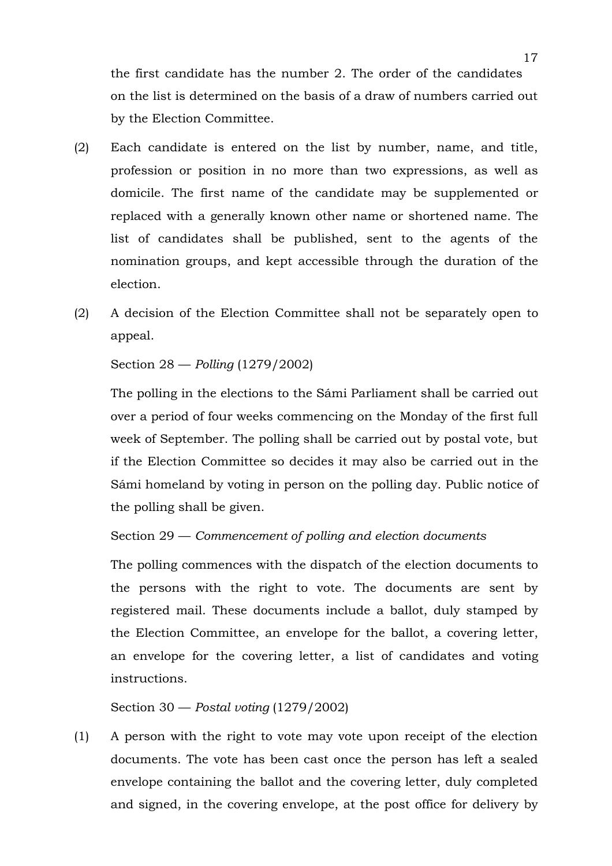the first candidate has the number 2. The order of the candidates on the list is determined on the basis of a draw of numbers carried out by the Election Committee.

- (2) Each candidate is entered on the list by number, name, and title, profession or position in no more than two expressions, as well as domicile. The first name of the candidate may be supplemented or replaced with a generally known other name or shortened name. The list of candidates shall be published, sent to the agents of the nomination groups, and kept accessible through the duration of the election.
- (2) A decision of the Election Committee shall not be separately open to appeal.

## Section 28 — *Polling* (1279/2002)

The polling in the elections to the Sámi Parliament shall be carried out over a period of four weeks commencing on the Monday of the first full week of September. The polling shall be carried out by postal vote, but if the Election Committee so decides it may also be carried out in the Sámi homeland by voting in person on the polling day. Public notice of the polling shall be given.

## Section 29 — *Commencement of polling and election documents*

The polling commences with the dispatch of the election documents to the persons with the right to vote. The documents are sent by registered mail. These documents include a ballot, duly stamped by the Election Committee, an envelope for the ballot, a covering letter, an envelope for the covering letter, a list of candidates and voting instructions.

## Section 30 — *Postal voting* (1279/2002)

(1) A person with the right to vote may vote upon receipt of the election documents. The vote has been cast once the person has left a sealed envelope containing the ballot and the covering letter, duly completed and signed, in the covering envelope, at the post office for delivery by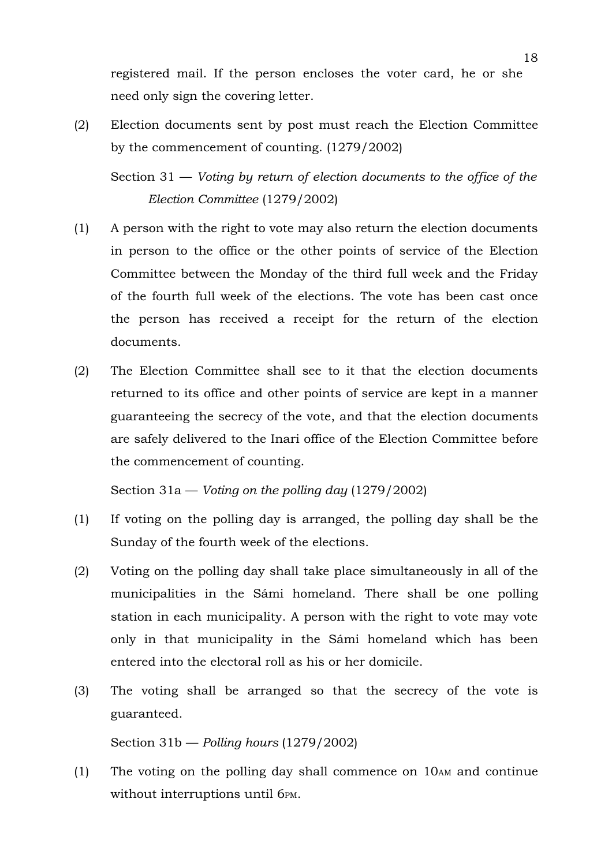registered mail. If the person encloses the voter card, he or she need only sign the covering letter.

(2) Election documents sent by post must reach the Election Committee by the commencement of counting. (1279/2002)

Section 31 — *Voting by return of election documents to the office of the Election Committee* (1279/2002)

- (1) A person with the right to vote may also return the election documents in person to the office or the other points of service of the Election Committee between the Monday of the third full week and the Friday of the fourth full week of the elections. The vote has been cast once the person has received a receipt for the return of the election documents.
- (2) The Election Committee shall see to it that the election documents returned to its office and other points of service are kept in a manner guaranteeing the secrecy of the vote, and that the election documents are safely delivered to the Inari office of the Election Committee before the commencement of counting.

Section 31a — *Voting on the polling day* (1279/2002)

- (1) If voting on the polling day is arranged, the polling day shall be the Sunday of the fourth week of the elections.
- (2) Voting on the polling day shall take place simultaneously in all of the municipalities in the Sámi homeland. There shall be one polling station in each municipality. A person with the right to vote may vote only in that municipality in the Sámi homeland which has been entered into the electoral roll as his or her domicile.
- (3) The voting shall be arranged so that the secrecy of the vote is guaranteed.

Section 31b — *Polling hours* (1279/2002)

(1) The voting on the polling day shall commence on 10AM and continue without interruptions until 6PM.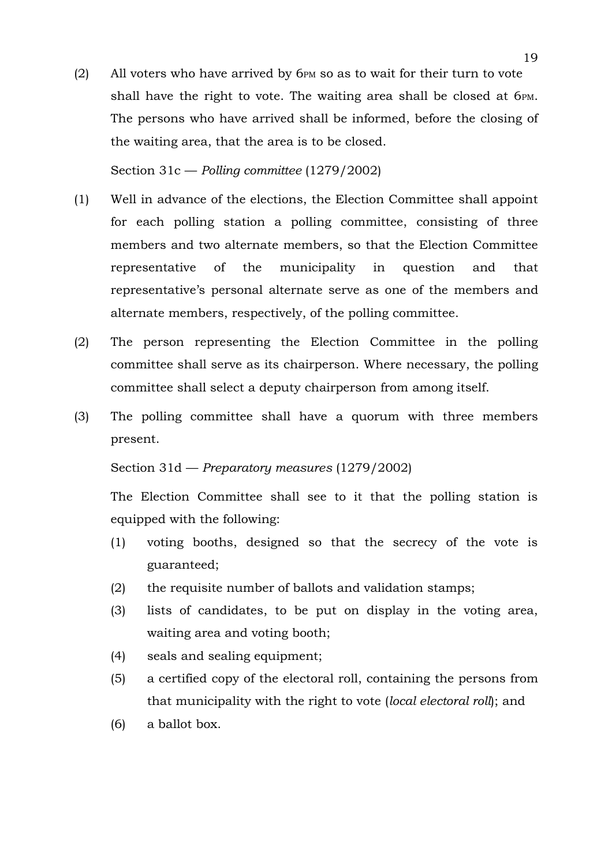(2) All voters who have arrived by 6PM so as to wait for their turn to vote shall have the right to vote. The waiting area shall be closed at 6PM. The persons who have arrived shall be informed, before the closing of the waiting area, that the area is to be closed.

## Section 31c — *Polling committee* (1279/2002)

- (1) Well in advance of the elections, the Election Committee shall appoint for each polling station a polling committee, consisting of three members and two alternate members, so that the Election Committee representative of the municipality in question and that representative's personal alternate serve as one of the members and alternate members, respectively, of the polling committee.
- (2) The person representing the Election Committee in the polling committee shall serve as its chairperson. Where necessary, the polling committee shall select a deputy chairperson from among itself.
- (3) The polling committee shall have a quorum with three members present.

## Section 31d — *Preparatory measures* (1279/2002)

The Election Committee shall see to it that the polling station is equipped with the following:

- (1) voting booths, designed so that the secrecy of the vote is guaranteed;
- (2) the requisite number of ballots and validation stamps;
- (3) lists of candidates, to be put on display in the voting area, waiting area and voting booth;
- (4) seals and sealing equipment;
- (5) a certified copy of the electoral roll, containing the persons from that municipality with the right to vote (*local electoral roll*); and
- (6) a ballot box.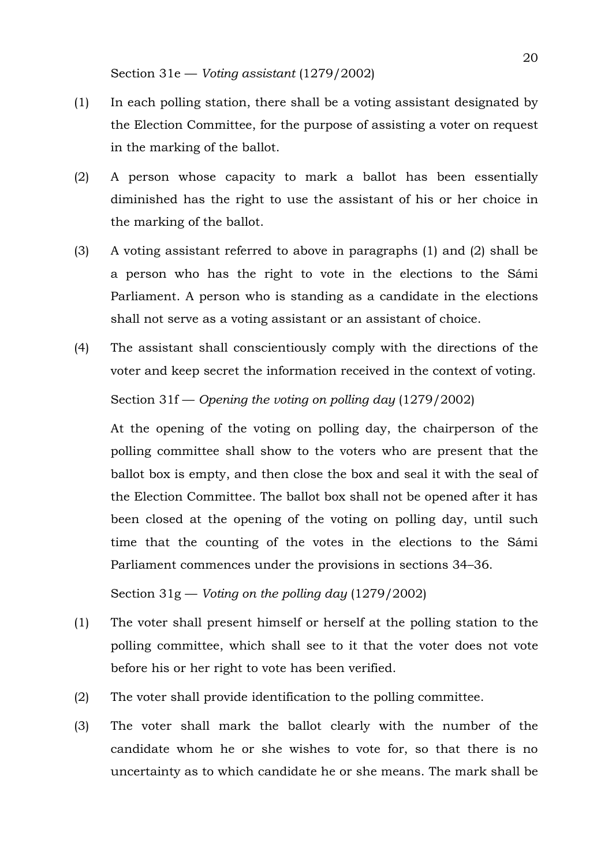- (1) In each polling station, there shall be a voting assistant designated by the Election Committee, for the purpose of assisting a voter on request in the marking of the ballot.
- (2) A person whose capacity to mark a ballot has been essentially diminished has the right to use the assistant of his or her choice in the marking of the ballot.
- (3) A voting assistant referred to above in paragraphs (1) and (2) shall be a person who has the right to vote in the elections to the Sámi Parliament. A person who is standing as a candidate in the elections shall not serve as a voting assistant or an assistant of choice.
- (4) The assistant shall conscientiously comply with the directions of the voter and keep secret the information received in the context of voting. Section 31f — *Opening the voting on polling day* (1279/2002)

At the opening of the voting on polling day, the chairperson of the polling committee shall show to the voters who are present that the ballot box is empty, and then close the box and seal it with the seal of the Election Committee. The ballot box shall not be opened after it has been closed at the opening of the voting on polling day, until such time that the counting of the votes in the elections to the Sámi Parliament commences under the provisions in sections 34–36.

Section 31g — *Voting on the polling day* (1279/2002)

- (1) The voter shall present himself or herself at the polling station to the polling committee, which shall see to it that the voter does not vote before his or her right to vote has been verified.
- (2) The voter shall provide identification to the polling committee.
- (3) The voter shall mark the ballot clearly with the number of the candidate whom he or she wishes to vote for, so that there is no uncertainty as to which candidate he or she means. The mark shall be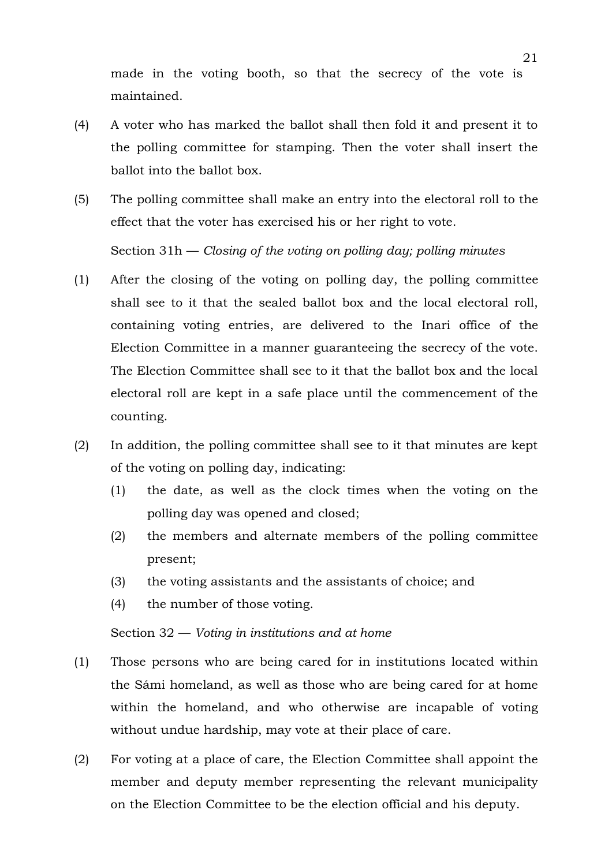made in the voting booth, so that the secrecy of the vote is maintained.

- (4) A voter who has marked the ballot shall then fold it and present it to the polling committee for stamping. Then the voter shall insert the ballot into the ballot box.
- (5) The polling committee shall make an entry into the electoral roll to the effect that the voter has exercised his or her right to vote.

Section 31h — *Closing of the voting on polling day; polling minutes*

- (1) After the closing of the voting on polling day, the polling committee shall see to it that the sealed ballot box and the local electoral roll, containing voting entries, are delivered to the Inari office of the Election Committee in a manner guaranteeing the secrecy of the vote. The Election Committee shall see to it that the ballot box and the local electoral roll are kept in a safe place until the commencement of the counting.
- (2) In addition, the polling committee shall see to it that minutes are kept of the voting on polling day, indicating:
	- (1) the date, as well as the clock times when the voting on the polling day was opened and closed;
	- (2) the members and alternate members of the polling committee present;
	- (3) the voting assistants and the assistants of choice; and
	- (4) the number of those voting.

## Section 32 — *Voting in institutions and at home*

- (1) Those persons who are being cared for in institutions located within the Sámi homeland, as well as those who are being cared for at home within the homeland, and who otherwise are incapable of voting without undue hardship, may vote at their place of care.
- (2) For voting at a place of care, the Election Committee shall appoint the member and deputy member representing the relevant municipality on the Election Committee to be the election official and his deputy.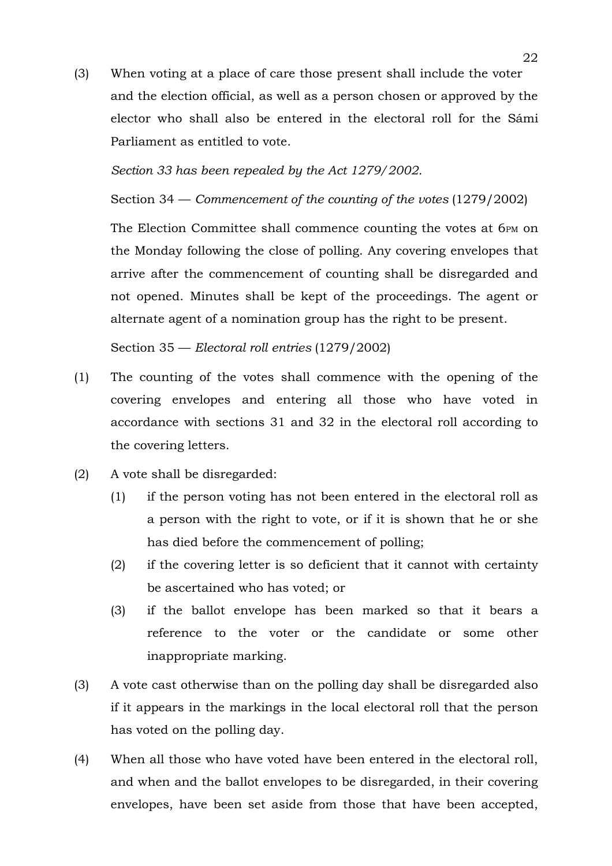(3) When voting at a place of care those present shall include the voter and the election official, as well as a person chosen or approved by the elector who shall also be entered in the electoral roll for the Sámi Parliament as entitled to vote.

*Section 33 has been repealed by the Act 1279/2002.*

Section 34 — *Commencement of the counting of the votes* (1279/2002)

The Election Committee shall commence counting the votes at 6PM on the Monday following the close of polling. Any covering envelopes that arrive after the commencement of counting shall be disregarded and not opened. Minutes shall be kept of the proceedings. The agent or alternate agent of a nomination group has the right to be present.

Section 35 — *Electoral roll entries* (1279/2002)

- (1) The counting of the votes shall commence with the opening of the covering envelopes and entering all those who have voted in accordance with sections 31 and 32 in the electoral roll according to the covering letters.
- (2) A vote shall be disregarded:
	- (1) if the person voting has not been entered in the electoral roll as a person with the right to vote, or if it is shown that he or she has died before the commencement of polling;
	- (2) if the covering letter is so deficient that it cannot with certainty be ascertained who has voted; or
	- (3) if the ballot envelope has been marked so that it bears a reference to the voter or the candidate or some other inappropriate marking.
- (3) A vote cast otherwise than on the polling day shall be disregarded also if it appears in the markings in the local electoral roll that the person has voted on the polling day.
- (4) When all those who have voted have been entered in the electoral roll, and when and the ballot envelopes to be disregarded, in their covering envelopes, have been set aside from those that have been accepted,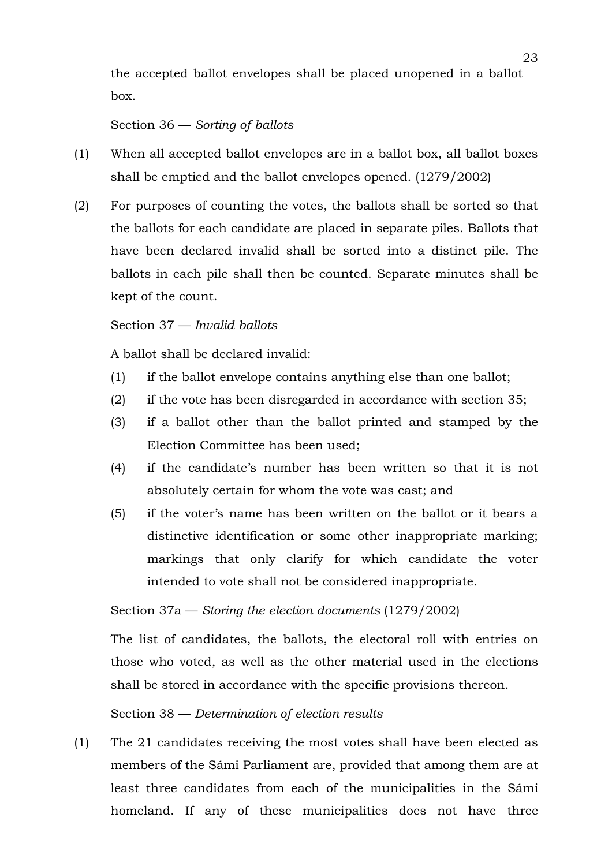the accepted ballot envelopes shall be placed unopened in a ballot box.

## Section 36 — *Sorting of ballots*

- (1) When all accepted ballot envelopes are in a ballot box, all ballot boxes shall be emptied and the ballot envelopes opened. (1279/2002)
- (2) For purposes of counting the votes, the ballots shall be sorted so that the ballots for each candidate are placed in separate piles. Ballots that have been declared invalid shall be sorted into a distinct pile. The ballots in each pile shall then be counted. Separate minutes shall be kept of the count.

## Section 37 — *Invalid ballots*

A ballot shall be declared invalid:

- (1) if the ballot envelope contains anything else than one ballot;
- (2) if the vote has been disregarded in accordance with section 35;
- (3) if a ballot other than the ballot printed and stamped by the Election Committee has been used;
- (4) if the candidate's number has been written so that it is not absolutely certain for whom the vote was cast; and
- (5) if the voter's name has been written on the ballot or it bears a distinctive identification or some other inappropriate marking; markings that only clarify for which candidate the voter intended to vote shall not be considered inappropriate.

## Section 37a — *Storing the election documents* (1279/2002)

The list of candidates, the ballots, the electoral roll with entries on those who voted, as well as the other material used in the elections shall be stored in accordance with the specific provisions thereon.

# Section 38 — *Determination of election results*

(1) The 21 candidates receiving the most votes shall have been elected as members of the Sámi Parliament are, provided that among them are at least three candidates from each of the municipalities in the Sámi homeland. If any of these municipalities does not have three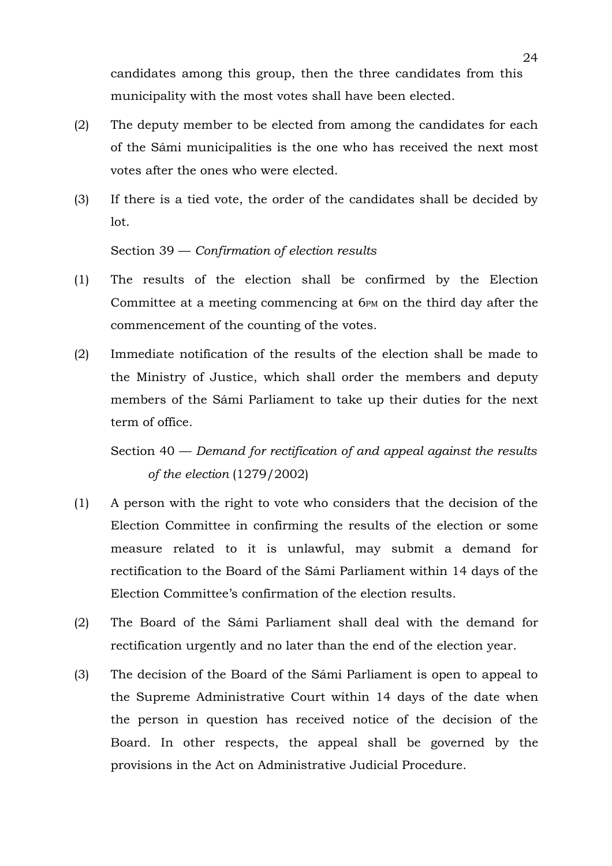candidates among this group, then the three candidates from this municipality with the most votes shall have been elected.

- (2) The deputy member to be elected from among the candidates for each of the Sámi municipalities is the one who has received the next most votes after the ones who were elected.
- (3) If there is a tied vote, the order of the candidates shall be decided by lot.

#### Section 39 — *Confirmation of election results*

- (1) The results of the election shall be confirmed by the Election Committee at a meeting commencing at 6PM on the third day after the commencement of the counting of the votes.
- (2) Immediate notification of the results of the election shall be made to the Ministry of Justice, which shall order the members and deputy members of the Sámi Parliament to take up their duties for the next term of office.

Section 40 — *Demand for rectification of and appeal against the results of the election* (1279/2002)

- (1) A person with the right to vote who considers that the decision of the Election Committee in confirming the results of the election or some measure related to it is unlawful, may submit a demand for rectification to the Board of the Sámi Parliament within 14 days of the Election Committee's confirmation of the election results.
- (2) The Board of the Sámi Parliament shall deal with the demand for rectification urgently and no later than the end of the election year.
- (3) The decision of the Board of the Sámi Parliament is open to appeal to the Supreme Administrative Court within 14 days of the date when the person in question has received notice of the decision of the Board. In other respects, the appeal shall be governed by the provisions in the Act on Administrative Judicial Procedure.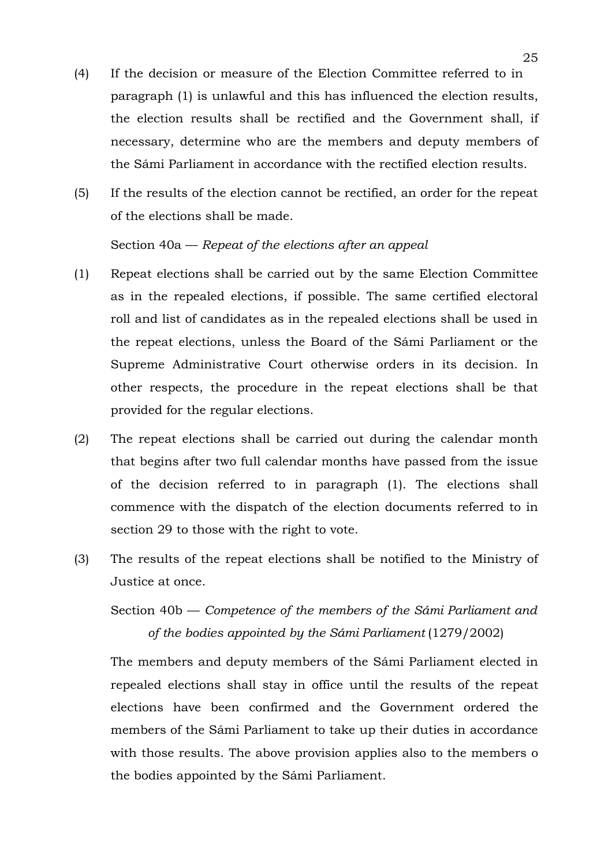- (4) If the decision or measure of the Election Committee referred to in paragraph (1) is unlawful and this has influenced the election results, the election results shall be rectified and the Government shall, if necessary, determine who are the members and deputy members of the Sámi Parliament in accordance with the rectified election results.
- (5) If the results of the election cannot be rectified, an order for the repeat of the elections shall be made.

# Section 40a — *Repeat of the elections after an appeal*

- (1) Repeat elections shall be carried out by the same Election Committee as in the repealed elections, if possible. The same certified electoral roll and list of candidates as in the repealed elections shall be used in the repeat elections, unless the Board of the Sámi Parliament or the Supreme Administrative Court otherwise orders in its decision. In other respects, the procedure in the repeat elections shall be that provided for the regular elections.
- (2) The repeat elections shall be carried out during the calendar month that begins after two full calendar months have passed from the issue of the decision referred to in paragraph (1). The elections shall commence with the dispatch of the election documents referred to in section 29 to those with the right to vote.
- (3) The results of the repeat elections shall be notified to the Ministry of Justice at once.

Section 40b — *Competence of the members of the Sámi Parliament and of the bodies appointed by the Sámi Parliament* (1279/2002)

The members and deputy members of the Sámi Parliament elected in repealed elections shall stay in office until the results of the repeat elections have been confirmed and the Government ordered the members of the Sámi Parliament to take up their duties in accordance with those results. The above provision applies also to the members o the bodies appointed by the Sámi Parliament.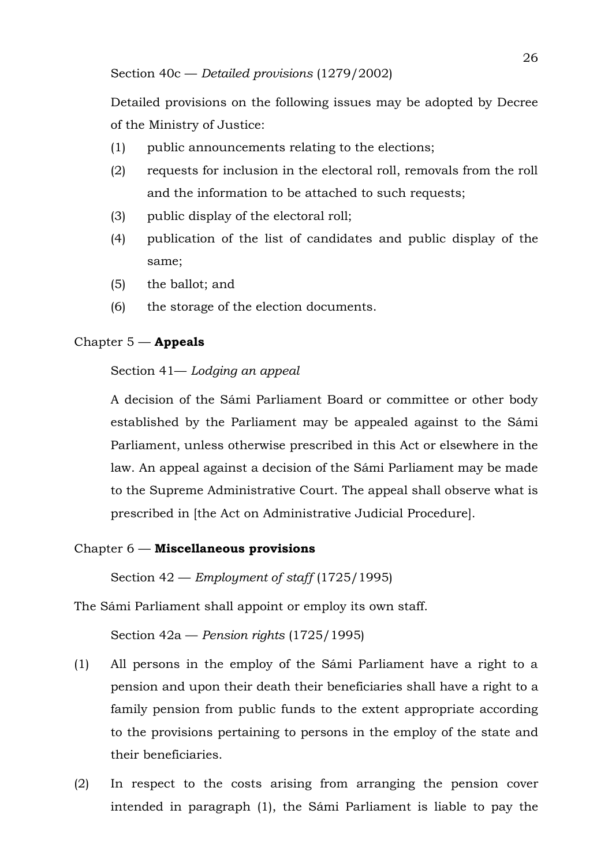Detailed provisions on the following issues may be adopted by Decree of the Ministry of Justice:

- (1) public announcements relating to the elections;
- (2) requests for inclusion in the electoral roll, removals from the roll and the information to be attached to such requests;
- (3) public display of the electoral roll;
- (4) publication of the list of candidates and public display of the same;
- (5) the ballot; and
- (6) the storage of the election documents.

# Chapter 5 — **Appeals**

## Section 41— *Lodging an appeal*

A decision of the Sámi Parliament Board or committee or other body established by the Parliament may be appealed against to the Sámi Parliament, unless otherwise prescribed in this Act or elsewhere in the law. An appeal against a decision of the Sámi Parliament may be made to the Supreme Administrative Court. The appeal shall observe what is prescribed in [the Act on Administrative Judicial Procedure].

# Chapter 6 — **Miscellaneous provisions**

Section 42 — *Employment of staff* (1725/1995)

The Sámi Parliament shall appoint or employ its own staff.

Section 42a — *Pension rights* (1725/1995)

- (1) All persons in the employ of the Sámi Parliament have a right to a pension and upon their death their beneficiaries shall have a right to a family pension from public funds to the extent appropriate according to the provisions pertaining to persons in the employ of the state and their beneficiaries.
- (2) In respect to the costs arising from arranging the pension cover intended in paragraph (1), the Sámi Parliament is liable to pay the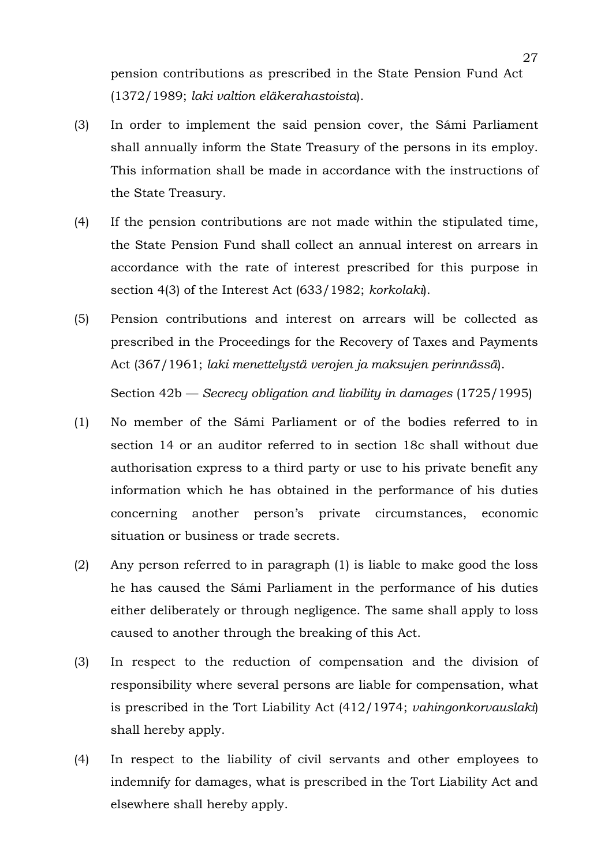pension contributions as prescribed in the State Pension Fund Act (1372/1989; *laki valtion eläkerahastoista*).

- (3) In order to implement the said pension cover, the Sámi Parliament shall annually inform the State Treasury of the persons in its employ. This information shall be made in accordance with the instructions of the State Treasury.
- (4) If the pension contributions are not made within the stipulated time, the State Pension Fund shall collect an annual interest on arrears in accordance with the rate of interest prescribed for this purpose in section 4(3) of the Interest Act (633/1982; *korkolaki*).
- (5) Pension contributions and interest on arrears will be collected as prescribed in the Proceedings for the Recovery of Taxes and Payments Act (367/1961; *laki menettelystä verojen ja maksujen perinnässä*).

Section 42b — *Secrecy obligation and liability in damages* (1725/1995)

- (1) No member of the Sámi Parliament or of the bodies referred to in section 14 or an auditor referred to in section 18c shall without due authorisation express to a third party or use to his private benefit any information which he has obtained in the performance of his duties concerning another person's private circumstances, economic situation or business or trade secrets.
- (2) Any person referred to in paragraph (1) is liable to make good the loss he has caused the Sámi Parliament in the performance of his duties either deliberately or through negligence. The same shall apply to loss caused to another through the breaking of this Act.
- (3) In respect to the reduction of compensation and the division of responsibility where several persons are liable for compensation, what is prescribed in the Tort Liability Act (412/1974; *vahingonkorvauslaki*) shall hereby apply.
- (4) In respect to the liability of civil servants and other employees to indemnify for damages, what is prescribed in the Tort Liability Act and elsewhere shall hereby apply.